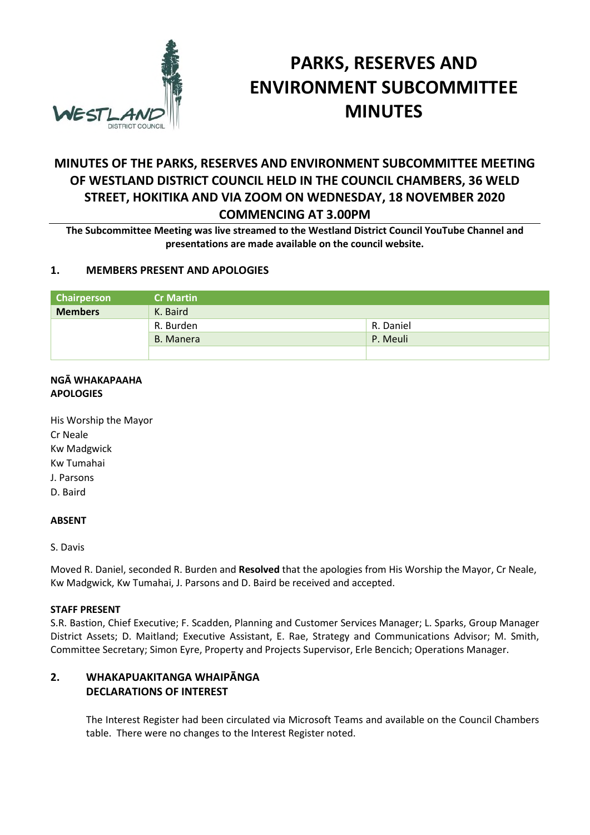

# **PARKS, RESERVES AND ENVIRONMENT SUBCOMMITTEE MINUTES**

# **MINUTES OF THE PARKS, RESERVES AND ENVIRONMENT SUBCOMMITTEE MEETING OF WESTLAND DISTRICT COUNCIL HELD IN THE COUNCIL CHAMBERS, 36 WELD STREET, HOKITIKA AND VIA ZOOM ON WEDNESDAY, 18 NOVEMBER 2020 COMMENCING AT 3.00PM**

**The Subcommittee Meeting was live streamed to the Westland District Council YouTube Channel and presentations are made available on the council website.** 

# **1. MEMBERS PRESENT AND APOLOGIES**

| Chairperson    | <b>Cr Martin</b> |           |
|----------------|------------------|-----------|
| <b>Members</b> | K. Baird         |           |
|                | R. Burden        | R. Daniel |
|                | B. Manera        | P. Meuli  |
|                |                  |           |

#### **NGĀ WHAKAPAAHA APOLOGIES**

His Worship the Mayor Cr Neale Kw Madgwick Kw Tumahai J. Parsons D. Baird

#### **ABSENT**

S. Davis

Moved R. Daniel, seconded R. Burden and **Resolved** that the apologies from His Worship the Mayor, Cr Neale, Kw Madgwick, Kw Tumahai, J. Parsons and D. Baird be received and accepted.

#### **STAFF PRESENT**

S.R. Bastion, Chief Executive; F. Scadden, Planning and Customer Services Manager; L. Sparks, Group Manager District Assets; D. Maitland; Executive Assistant, E. Rae, Strategy and Communications Advisor; M. Smith, Committee Secretary; Simon Eyre, Property and Projects Supervisor, Erle Bencich; Operations Manager.

# **2. WHAKAPUAKITANGA WHAIPĀNGA DECLARATIONS OF INTEREST**

The Interest Register had been circulated via Microsoft Teams and available on the Council Chambers table. There were no changes to the Interest Register noted.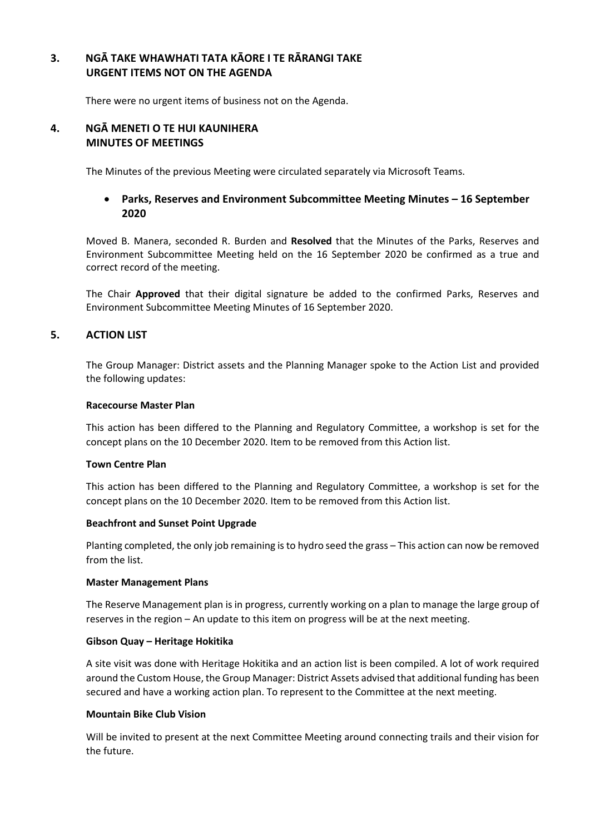# **3. NGĀ TAKE WHAWHATI TATA KĀORE I TE RĀRANGI TAKE URGENT ITEMS NOT ON THE AGENDA**

There were no urgent items of business not on the Agenda.

### **4. NGĀ MENETI O TE HUI KAUNIHERA MINUTES OF MEETINGS**

The Minutes of the previous Meeting were circulated separately via Microsoft Teams.

# **Parks, Reserves and Environment Subcommittee Meeting Minutes – 16 September 2020**

Moved B. Manera, seconded R. Burden and **Resolved** that the Minutes of the Parks, Reserves and Environment Subcommittee Meeting held on the 16 September 2020 be confirmed as a true and correct record of the meeting.

The Chair **Approved** that their digital signature be added to the confirmed Parks, Reserves and Environment Subcommittee Meeting Minutes of 16 September 2020.

# **5. ACTION LIST**

The Group Manager: District assets and the Planning Manager spoke to the Action List and provided the following updates:

#### **Racecourse Master Plan**

This action has been differed to the Planning and Regulatory Committee, a workshop is set for the concept plans on the 10 December 2020. Item to be removed from this Action list.

#### **Town Centre Plan**

This action has been differed to the Planning and Regulatory Committee, a workshop is set for the concept plans on the 10 December 2020. Item to be removed from this Action list.

#### **Beachfront and Sunset Point Upgrade**

Planting completed, the only job remaining is to hydro seed the grass – This action can now be removed from the list.

#### **Master Management Plans**

The Reserve Management plan is in progress, currently working on a plan to manage the large group of reserves in the region – An update to this item on progress will be at the next meeting.

#### **Gibson Quay – Heritage Hokitika**

A site visit was done with Heritage Hokitika and an action list is been compiled. A lot of work required around the Custom House, the Group Manager: District Assets advised that additional funding has been secured and have a working action plan. To represent to the Committee at the next meeting.

#### **Mountain Bike Club Vision**

Will be invited to present at the next Committee Meeting around connecting trails and their vision for the future.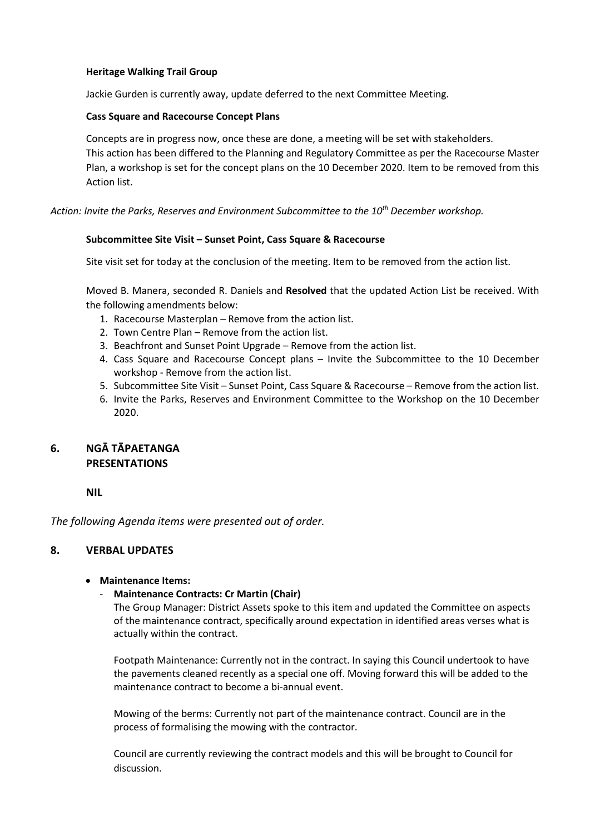#### **Heritage Walking Trail Group**

Jackie Gurden is currently away, update deferred to the next Committee Meeting.

#### **Cass Square and Racecourse Concept Plans**

Concepts are in progress now, once these are done, a meeting will be set with stakeholders. This action has been differed to the Planning and Regulatory Committee as per the Racecourse Master Plan, a workshop is set for the concept plans on the 10 December 2020. Item to be removed from this Action list.

*Action: Invite the Parks, Reserves and Environment Subcommittee to the 10th December workshop.* 

#### **Subcommittee Site Visit – Sunset Point, Cass Square & Racecourse**

Site visit set for today at the conclusion of the meeting. Item to be removed from the action list.

Moved B. Manera, seconded R. Daniels and **Resolved** that the updated Action List be received. With the following amendments below:

- 1. Racecourse Masterplan Remove from the action list.
- 2. Town Centre Plan Remove from the action list.
- 3. Beachfront and Sunset Point Upgrade Remove from the action list.
- 4. Cass Square and Racecourse Concept plans Invite the Subcommittee to the 10 December workshop - Remove from the action list.
- 5. Subcommittee Site Visit Sunset Point, Cass Square & Racecourse Remove from the action list.
- 6. Invite the Parks, Reserves and Environment Committee to the Workshop on the 10 December 2020.

# **6. NGĀ TĀPAETANGA PRESENTATIONS**

#### **NIL**

*The following Agenda items were presented out of order.* 

# **8. VERBAL UPDATES**

#### **Maintenance Items:**

# - **Maintenance Contracts: Cr Martin (Chair)**

The Group Manager: District Assets spoke to this item and updated the Committee on aspects of the maintenance contract, specifically around expectation in identified areas verses what is actually within the contract.

Footpath Maintenance: Currently not in the contract. In saying this Council undertook to have the pavements cleaned recently as a special one off. Moving forward this will be added to the maintenance contract to become a bi-annual event.

Mowing of the berms: Currently not part of the maintenance contract. Council are in the process of formalising the mowing with the contractor.

Council are currently reviewing the contract models and this will be brought to Council for discussion.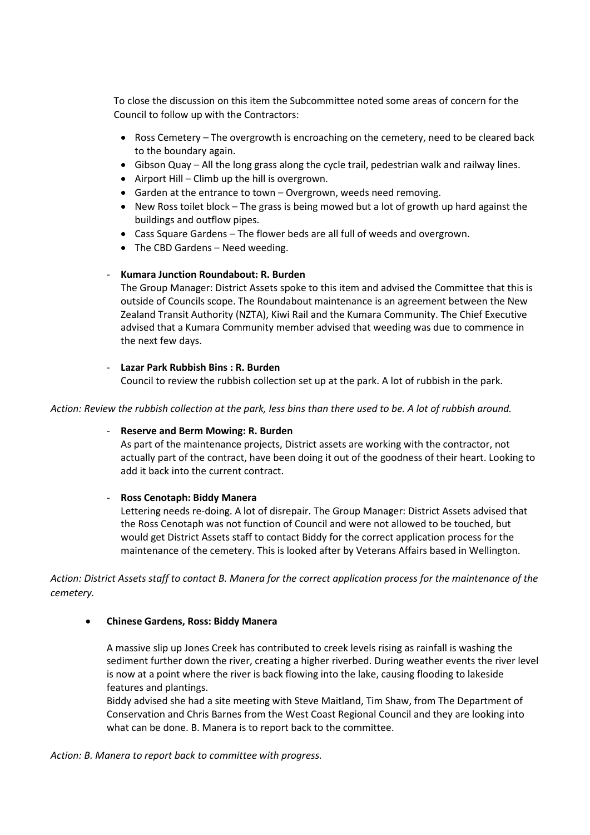To close the discussion on this item the Subcommittee noted some areas of concern for the Council to follow up with the Contractors:

- Ross Cemetery The overgrowth is encroaching on the cemetery, need to be cleared back to the boundary again.
- Gibson Quay All the long grass along the cycle trail, pedestrian walk and railway lines.
- $\bullet$  Airport Hill Climb up the hill is overgrown.
- Garden at the entrance to town Overgrown, weeds need removing.
- New Ross toilet block The grass is being mowed but a lot of growth up hard against the buildings and outflow pipes.
- Cass Square Gardens The flower beds are all full of weeds and overgrown.
- The CBD Gardens Need weeding.

#### - **Kumara Junction Roundabout: R. Burden**

The Group Manager: District Assets spoke to this item and advised the Committee that this is outside of Councils scope. The Roundabout maintenance is an agreement between the New Zealand Transit Authority (NZTA), Kiwi Rail and the Kumara Community. The Chief Executive advised that a Kumara Community member advised that weeding was due to commence in the next few days.

#### - **Lazar Park Rubbish Bins : R. Burden**

Council to review the rubbish collection set up at the park. A lot of rubbish in the park.

#### *Action: Review the rubbish collection at the park, less bins than there used to be. A lot of rubbish around.*

#### - **Reserve and Berm Mowing: R. Burden**

As part of the maintenance projects, District assets are working with the contractor, not actually part of the contract, have been doing it out of the goodness of their heart. Looking to add it back into the current contract.

#### - **Ross Cenotaph: Biddy Manera**

Lettering needs re-doing. A lot of disrepair. The Group Manager: District Assets advised that the Ross Cenotaph was not function of Council and were not allowed to be touched, but would get District Assets staff to contact Biddy for the correct application process for the maintenance of the cemetery. This is looked after by Veterans Affairs based in Wellington.

*Action: District Assets staff to contact B. Manera for the correct application process for the maintenance of the cemetery.* 

#### **Chinese Gardens, Ross: Biddy Manera**

A massive slip up Jones Creek has contributed to creek levels rising as rainfall is washing the sediment further down the river, creating a higher riverbed. During weather events the river level is now at a point where the river is back flowing into the lake, causing flooding to lakeside features and plantings.

Biddy advised she had a site meeting with Steve Maitland, Tim Shaw, from The Department of Conservation and Chris Barnes from the West Coast Regional Council and they are looking into what can be done. B. Manera is to report back to the committee.

*Action: B. Manera to report back to committee with progress.*